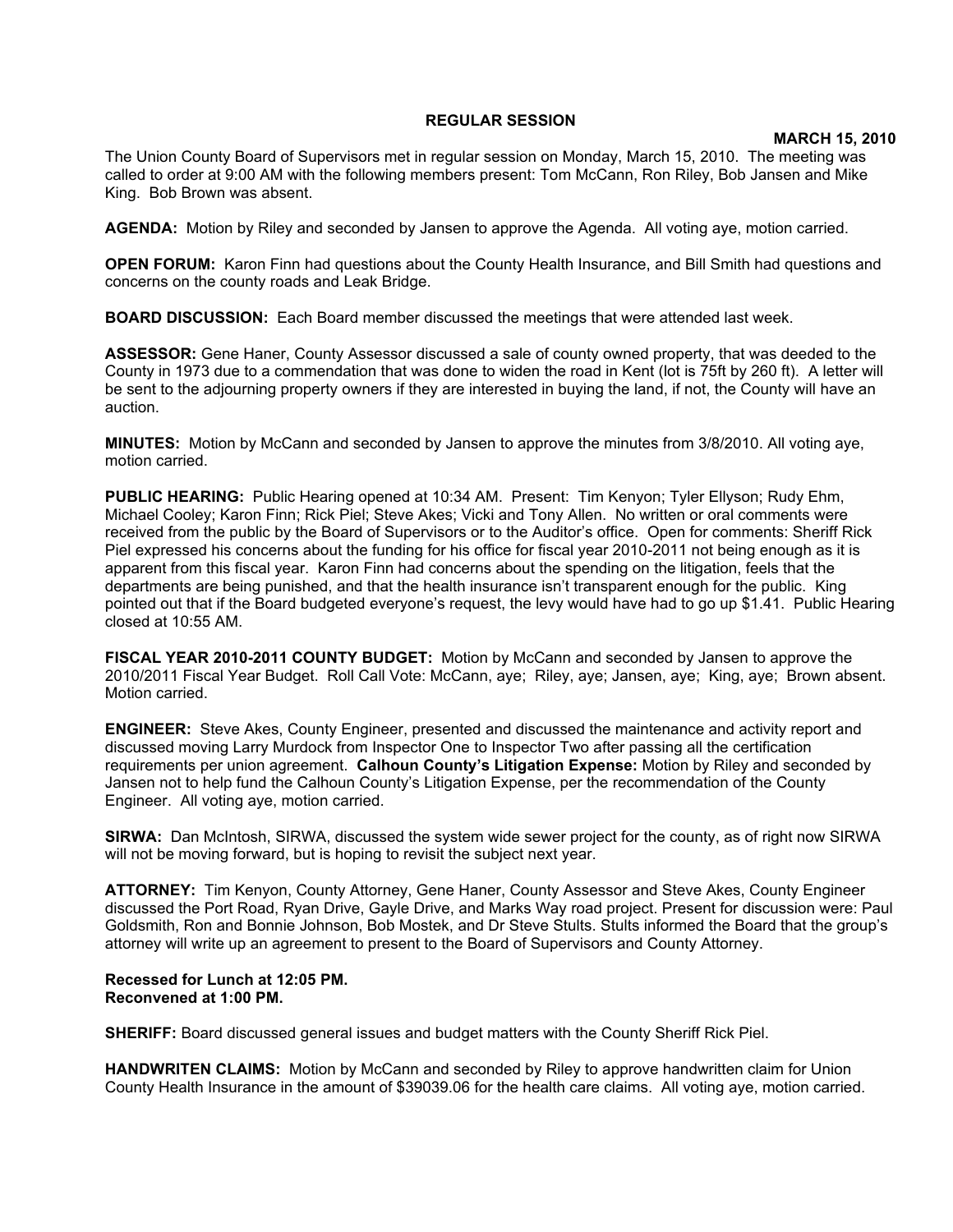## **REGULAR SESSION**

## **MARCH 15, 2010**

The Union County Board of Supervisors met in regular session on Monday, March 15, 2010. The meeting was called to order at 9:00 AM with the following members present: Tom McCann, Ron Riley, Bob Jansen and Mike King. Bob Brown was absent.

**AGENDA:** Motion by Riley and seconded by Jansen to approve the Agenda. All voting aye, motion carried.

**OPEN FORUM:** Karon Finn had questions about the County Health Insurance, and Bill Smith had questions and concerns on the county roads and Leak Bridge.

**BOARD DISCUSSION:** Each Board member discussed the meetings that were attended last week.

**ASSESSOR:** Gene Haner, County Assessor discussed a sale of county owned property, that was deeded to the County in 1973 due to a commendation that was done to widen the road in Kent (lot is 75ft by 260 ft). A letter will be sent to the adjourning property owners if they are interested in buying the land, if not, the County will have an auction.

**MINUTES:** Motion by McCann and seconded by Jansen to approve the minutes from 3/8/2010. All voting aye, motion carried.

**PUBLIC HEARING:** Public Hearing opened at 10:34 AM. Present: Tim Kenyon; Tyler Ellyson; Rudy Ehm, Michael Cooley; Karon Finn; Rick Piel; Steve Akes; Vicki and Tony Allen. No written or oral comments were received from the public by the Board of Supervisors or to the Auditor's office. Open for comments: Sheriff Rick Piel expressed his concerns about the funding for his office for fiscal year 2010-2011 not being enough as it is apparent from this fiscal year. Karon Finn had concerns about the spending on the litigation, feels that the departments are being punished, and that the health insurance isn't transparent enough for the public. King pointed out that if the Board budgeted everyone's request, the levy would have had to go up \$1.41. Public Hearing closed at 10:55 AM.

**FISCAL YEAR 2010-2011 COUNTY BUDGET:** Motion by McCann and seconded by Jansen to approve the 2010/2011 Fiscal Year Budget. Roll Call Vote: McCann, aye; Riley, aye; Jansen, aye; King, aye; Brown absent. Motion carried.

**ENGINEER:** Steve Akes, County Engineer, presented and discussed the maintenance and activity report and discussed moving Larry Murdock from Inspector One to Inspector Two after passing all the certification requirements per union agreement. **Calhoun County's Litigation Expense:** Motion by Riley and seconded by Jansen not to help fund the Calhoun County's Litigation Expense, per the recommendation of the County Engineer. All voting aye, motion carried.

**SIRWA:** Dan McIntosh, SIRWA, discussed the system wide sewer project for the county, as of right now SIRWA will not be moving forward, but is hoping to revisit the subject next year.

**ATTORNEY:** Tim Kenyon, County Attorney, Gene Haner, County Assessor and Steve Akes, County Engineer discussed the Port Road, Ryan Drive, Gayle Drive, and Marks Way road project. Present for discussion were: Paul Goldsmith, Ron and Bonnie Johnson, Bob Mostek, and Dr Steve Stults. Stults informed the Board that the group's attorney will write up an agreement to present to the Board of Supervisors and County Attorney.

## **Recessed for Lunch at 12:05 PM. Reconvened at 1:00 PM.**

**SHERIFF:** Board discussed general issues and budget matters with the County Sheriff Rick Piel.

**HANDWRITEN CLAIMS:** Motion by McCann and seconded by Riley to approve handwritten claim for Union County Health Insurance in the amount of \$39039.06 for the health care claims. All voting aye, motion carried.